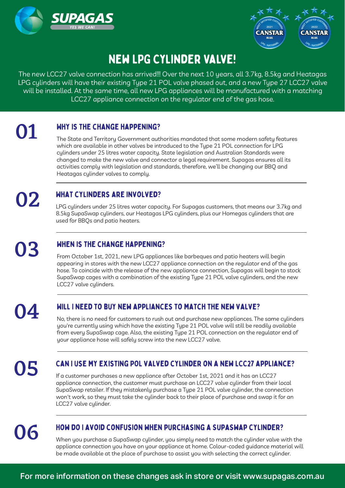



# New LPG Cylinder Valve!

The new LCC27 valve connection has arrived!!! Over the next 10 years, all 3.7kg, 8.5kg and Heatagas LPG cylinders will have their existing Type 21 POL valve phased out, and a new Type 27 LCC27 valve will be installed. At the same time, all new LPG appliances will be manufactured with a matching LCC27 appliance connection on the regulator end of the gas hose.

#### Why is the change happening?

**01** MHY IS THE CHANGE HAPPENING?<br>The State and Territory Government authorities mandated that some modern safety features which are available in other valves be introduced to the Type 21 POL connection for LPG cylinders under 25 litres water capacity. State legislation and Australian Standards were changed to make the new valve and connector a legal requirement. Supagas ensures all its activities comply with legislation and standards, therefore, we'll be changing our BBQ and Heatagas cylinder valves to comply.

### What cylinders are involved?

**02** MHAT CYLINDERS ARE INVOLVED?<br>LPG cylinders under 25 litres water capacity. For Supagas customers, that means our 3.7kg and 8.5kg SupaSwap cylinders, our Heatagas LPG cylinders, plus our Homegas cylinders that are used for BBQs and patio heaters.

### When is the change happening?

**03** WHEN IS THE CHANGE HAPPENING?<br>From October 1st, 2021, new LPG appliances like barbeques and patio heaters will begin appearing in stores with the new LCC27 appliance connection on the regulator end of the gas hose. To coincide with the release of the new appliance connection, Supagas will begin to stock SupaSwap cages with a combination of the existing Type 21 POL valve cylinders, and the new LCC27 valve cylinders.

#### Will I need to buy new appliances to match the new valve?

NOCON NULLA INCLUTURUM INCREDITION APPLIANCES TO MATCH THE NEW VALVE:<br>No, there is no need for customers to rush out and purchase new appliances. The same cylinders you're currently using which have the existing Type 21 POL valve will still be readily available from every SupaSwap cage. Also, the existing Type 21 POL connection on the regulator end of your appliance hose will safely screw into the new LCC27 valve.

## **O5** CAN I USE MY EXISTING POL VALVED CYLINDER ON A NEW LCC27 APPLIA<br>If a customer purchases a new appliance after October 1st, 2021 and it has an LCC27 Can I use my existing POL valved cylinder on a new LCC27 appliance?

appliance connection, the customer must purchase an LCC27 valve cylinder from their local SupaSwap retailer. If they mistakenly purchase a Type 21 POL valve cylinder, the connection won't work, so they must take the cylinder back to their place of purchase and swap it for an LCC27 valve cylinder.

#### How do I avoid confusion when purchasing a SupaSwap cylinder?

MO6 MUNICULA CONTUSION WHEN PURCHASING A SUPASWAP CTLINDER?<br>When you purchase a SupaSwap cylinder, you simply need to match the cylinder valve with the appliance connection you have on your appliance at home. Colour-coded guidance material will be made available at the place of purchase to assist you with selecting the correct cylinder.